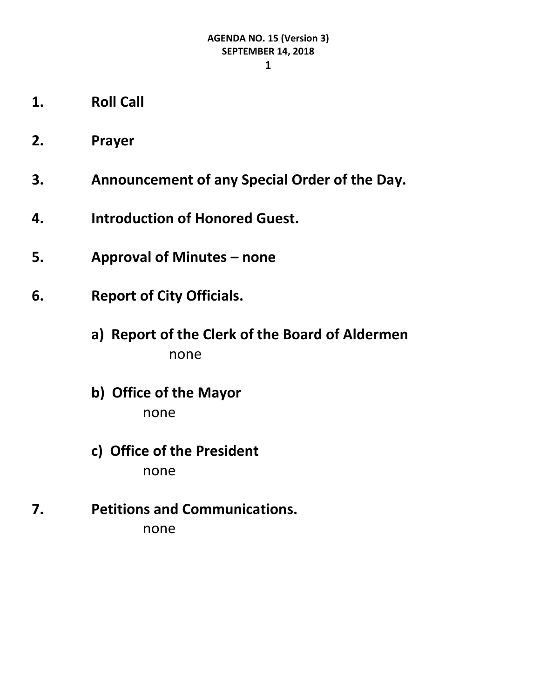**1**

- **1. Roll Call**
- **2. Prayer**
- **3. Announcement of any Special Order of the Day.**
- **4. Introduction of Honored Guest.**
- **5. Approval of Minutes – none**
- **6. Report of City Officials.**
	- **a) Report of the Clerk of the Board of Aldermen** none
	- **b) Office of the Mayor** none
	- **c) Office of the President** none
- **7. Petitions and Communications.** none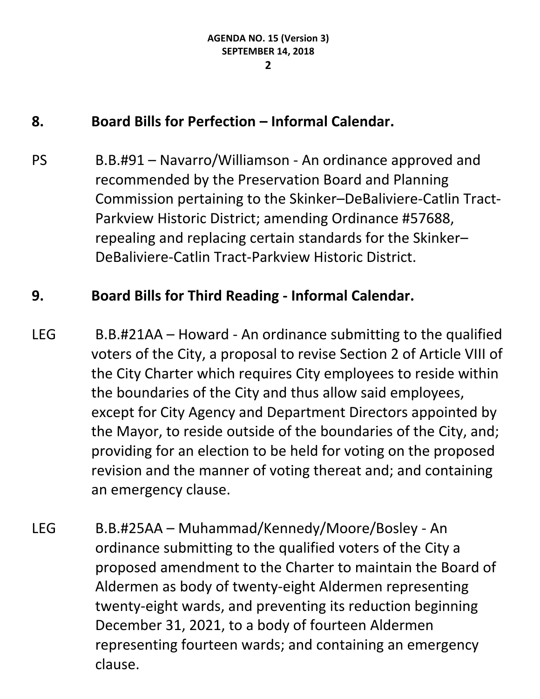## **8. Board Bills for Perfection – Informal Calendar.**

PS B.B.#91 – Navarro/Williamson - An ordinance approved and recommended by the Preservation Board and Planning Commission pertaining to the Skinker–DeBaliviere-Catlin Tract-Parkview Historic District; amending Ordinance #57688, repealing and replacing certain standards for the Skinker– DeBaliviere-Catlin Tract-Parkview Historic District.

#### **9. Board Bills for Third Reading - Informal Calendar.**

- LEG B.B.#21AA Howard An ordinance submitting to the qualified voters of the City, a proposal to revise Section 2 of Article VIII of the City Charter which requires City employees to reside within the boundaries of the City and thus allow said employees, except for City Agency and Department Directors appointed by the Mayor, to reside outside of the boundaries of the City, and; providing for an election to be held for voting on the proposed revision and the manner of voting thereat and; and containing an emergency clause.
- LEG B.B.#25AA Muhammad/Kennedy/Moore/Bosley An ordinance submitting to the qualified voters of the City a proposed amendment to the Charter to maintain the Board of Aldermen as body of twenty-eight Aldermen representing twenty-eight wards, and preventing its reduction beginning December 31, 2021, to a body of fourteen Aldermen representing fourteen wards; and containing an emergency clause.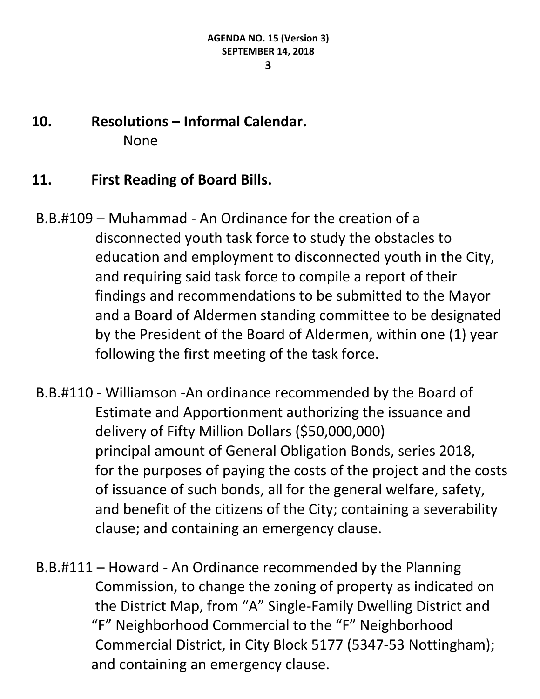#### **3**

## **10. Resolutions – Informal Calendar.** None

#### **11. First Reading of Board Bills.**

- B.B.#109 Muhammad An Ordinance for the creation of a disconnected youth task force to study the obstacles to education and employment to disconnected youth in the City, and requiring said task force to compile a report of their findings and recommendations to be submitted to the Mayor and a Board of Aldermen standing committee to be designated by the President of the Board of Aldermen, within one (1) year following the first meeting of the task force.
- B.B.#110 Williamson -An ordinance recommended by the Board of Estimate and Apportionment authorizing the issuance and delivery of Fifty Million Dollars (\$50,000,000) principal amount of General Obligation Bonds, series 2018, for the purposes of paying the costs of the project and the costs of issuance of such bonds, all for the general welfare, safety, and benefit of the citizens of the City; containing a severability clause; and containing an emergency clause.
- B.B.#111 Howard An Ordinance recommended by the Planning Commission, to change the zoning of property as indicated on the District Map, from "A" Single-Family Dwelling District and "F" Neighborhood Commercial to the "F" Neighborhood Commercial District, in City Block 5177 (5347-53 Nottingham); and containing an emergency clause.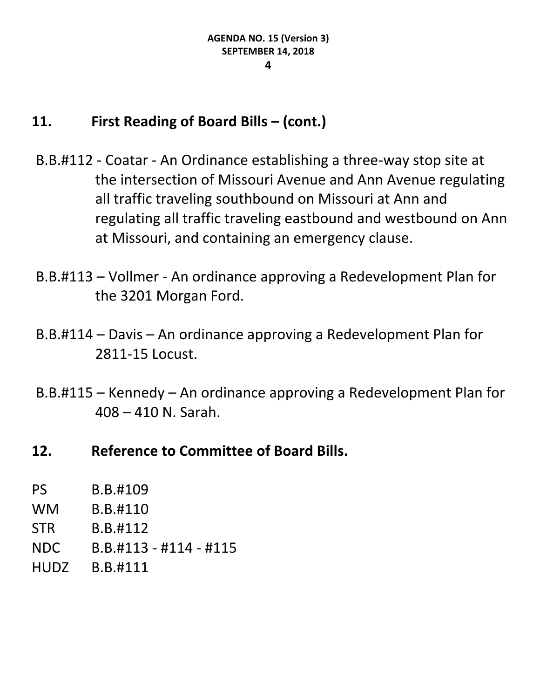## **11. First Reading of Board Bills – (cont.)**

- B.B.#112 Coatar An Ordinance establishing a three-way stop site at the intersection of Missouri Avenue and Ann Avenue regulating all traffic traveling southbound on Missouri at Ann and regulating all traffic traveling eastbound and westbound on Ann at Missouri, and containing an emergency clause.
- B.B.#113 Vollmer An ordinance approving a Redevelopment Plan for the 3201 Morgan Ford.
- B.B.#114 Davis An ordinance approving a Redevelopment Plan for 2811-15 Locust.
- B.B.#115 Kennedy An ordinance approving a Redevelopment Plan for 408 – 410 N. Sarah.
- **12. Reference to Committee of Board Bills.**

| <b>PS</b>   | B.B.#109                 |
|-------------|--------------------------|
| <b>WM</b>   | B.B.#110                 |
| <b>STR</b>  | B.B.#112                 |
| NDC         | $B.B.#113 - #114 - #115$ |
| <b>HUDZ</b> | B.B.#111                 |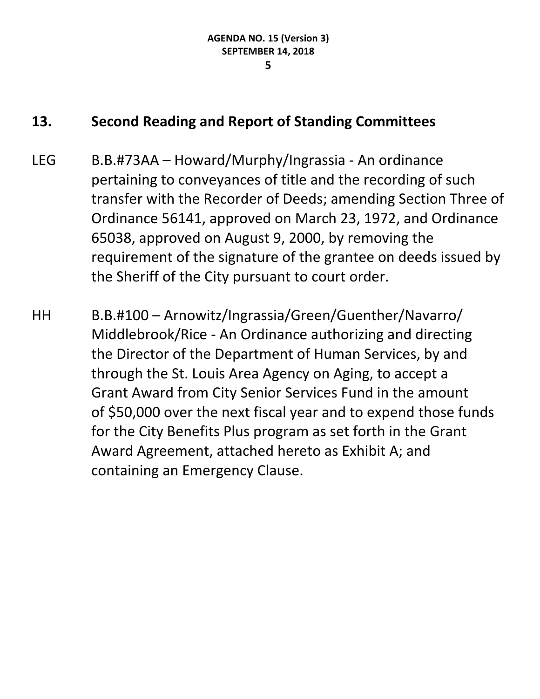#### **13. Second Reading and Report of Standing Committees**

- LEG B.B.#73AA Howard/Murphy/Ingrassia An ordinance pertaining to conveyances of title and the recording of such transfer with the Recorder of Deeds; amending Section Three of Ordinance 56141, approved on March 23, 1972, and Ordinance 65038, approved on August 9, 2000, by removing the requirement of the signature of the grantee on deeds issued by the Sheriff of the City pursuant to court order.
- HH B.B.#100 Arnowitz/Ingrassia/Green/Guenther/Navarro/ Middlebrook/Rice - An Ordinance authorizing and directing the Director of the Department of Human Services, by and through the St. Louis Area Agency on Aging, to accept a Grant Award from City Senior Services Fund in the amount of \$50,000 over the next fiscal year and to expend those funds for the City Benefits Plus program as set forth in the Grant Award Agreement, attached hereto as Exhibit A; and containing an Emergency Clause.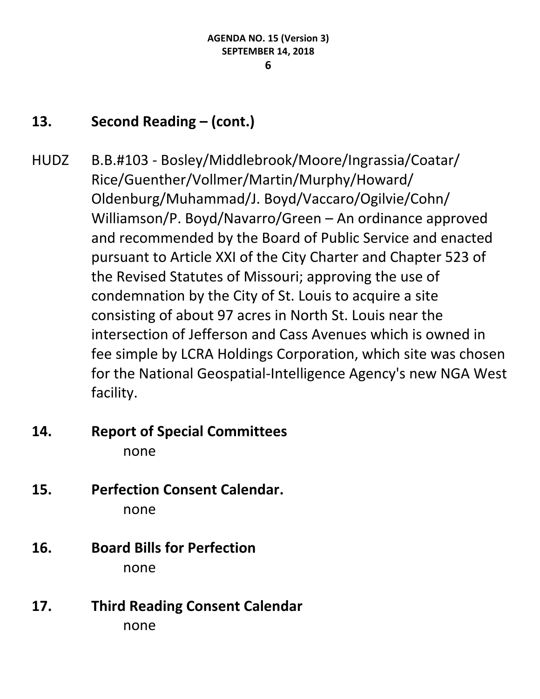## **13. Second Reading – (cont.)**

- HUDZ B.B.#103 Bosley/Middlebrook/Moore/Ingrassia/Coatar/ Rice/Guenther/Vollmer/Martin/Murphy/Howard/ Oldenburg/Muhammad/J. Boyd/Vaccaro/Ogilvie/Cohn/ Williamson/P. Boyd/Navarro/Green – An ordinance approved and recommended by the Board of Public Service and enacted pursuant to Article XXI of the City Charter and Chapter 523 of the Revised Statutes of Missouri; approving the use of condemnation by the City of St. Louis to acquire a site consisting of about 97 acres in North St. Louis near the intersection of Jefferson and Cass Avenues which is owned in fee simple by LCRA Holdings Corporation, which site was chosen for the National Geospatial-Intelligence Agency's new NGA West facility.
- **14. Report of Special Committees** none
- **15. Perfection Consent Calendar.** none
- **16. Board Bills for Perfection** none
- **17. Third Reading Consent Calendar** none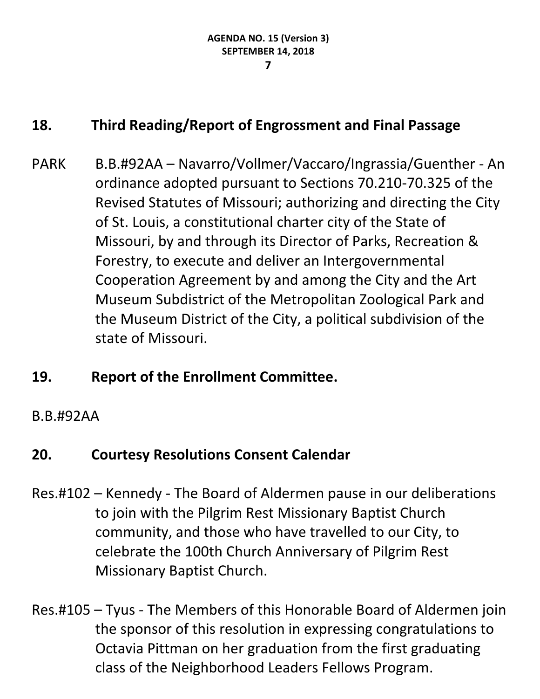#### **7**

## **18. Third Reading/Report of Engrossment and Final Passage**

PARK B.B.#92AA – Navarro/Vollmer/Vaccaro/Ingrassia/Guenther - An ordinance adopted pursuant to Sections 70.210-70.325 of the Revised Statutes of Missouri; authorizing and directing the City of St. Louis, a constitutional charter city of the State of Missouri, by and through its Director of Parks, Recreation & Forestry, to execute and deliver an Intergovernmental Cooperation Agreement by and among the City and the Art Museum Subdistrict of the Metropolitan Zoological Park and the Museum District of the City, a political subdivision of the state of Missouri.

## **19. Report of the Enrollment Committee.**

#### B.B.#92AA

## **20. Courtesy Resolutions Consent Calendar**

- Res.#102 Kennedy The Board of Aldermen pause in our deliberations to join with the Pilgrim Rest Missionary Baptist Church community, and those who have travelled to our City, to celebrate the 100th Church Anniversary of Pilgrim Rest Missionary Baptist Church.
- Res.#105 Tyus The Members of this Honorable Board of Aldermen join the sponsor of this resolution in expressing congratulations to Octavia Pittman on her graduation from the first graduating class of the Neighborhood Leaders Fellows Program.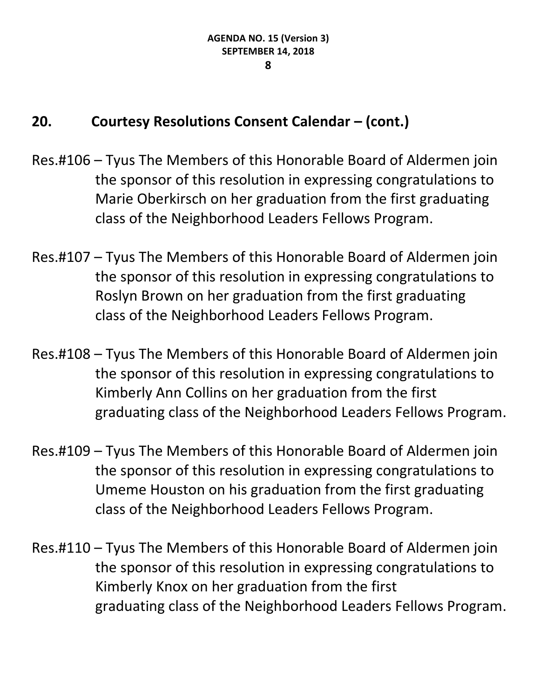- Res.#106 Tyus The Members of this Honorable Board of Aldermen join the sponsor of this resolution in expressing congratulations to Marie Oberkirsch on her graduation from the first graduating class of the Neighborhood Leaders Fellows Program.
- Res.#107 Tyus The Members of this Honorable Board of Aldermen join the sponsor of this resolution in expressing congratulations to Roslyn Brown on her graduation from the first graduating class of the Neighborhood Leaders Fellows Program.
- Res.#108 Tyus The Members of this Honorable Board of Aldermen join the sponsor of this resolution in expressing congratulations to Kimberly Ann Collins on her graduation from the first graduating class of the Neighborhood Leaders Fellows Program.
- Res.#109 Tyus The Members of this Honorable Board of Aldermen join the sponsor of this resolution in expressing congratulations to Umeme Houston on his graduation from the first graduating class of the Neighborhood Leaders Fellows Program.
- Res.#110 Tyus The Members of this Honorable Board of Aldermen join the sponsor of this resolution in expressing congratulations to Kimberly Knox on her graduation from the first graduating class of the Neighborhood Leaders Fellows Program.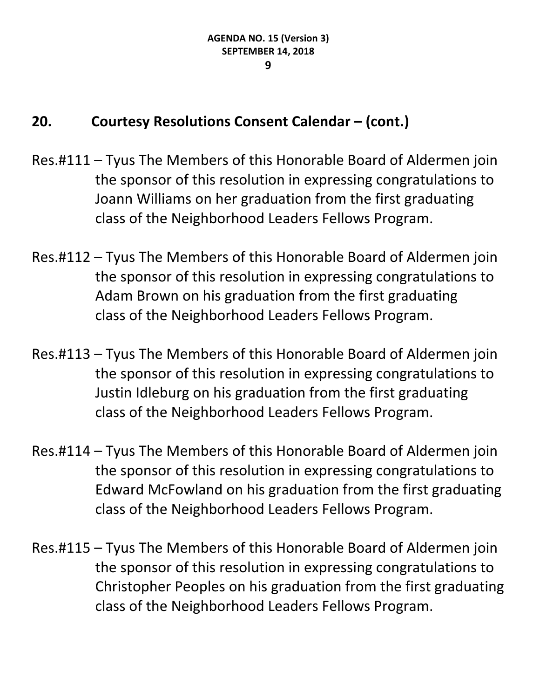- Res.#111 Tyus The Members of this Honorable Board of Aldermen join the sponsor of this resolution in expressing congratulations to Joann Williams on her graduation from the first graduating class of the Neighborhood Leaders Fellows Program.
- Res.#112 Tyus The Members of this Honorable Board of Aldermen join the sponsor of this resolution in expressing congratulations to Adam Brown on his graduation from the first graduating class of the Neighborhood Leaders Fellows Program.
- Res.#113 Tyus The Members of this Honorable Board of Aldermen join the sponsor of this resolution in expressing congratulations to Justin Idleburg on his graduation from the first graduating class of the Neighborhood Leaders Fellows Program.
- Res.#114 Tyus The Members of this Honorable Board of Aldermen join the sponsor of this resolution in expressing congratulations to Edward McFowland on his graduation from the first graduating class of the Neighborhood Leaders Fellows Program.
- Res.#115 Tyus The Members of this Honorable Board of Aldermen join the sponsor of this resolution in expressing congratulations to Christopher Peoples on his graduation from the first graduating class of the Neighborhood Leaders Fellows Program.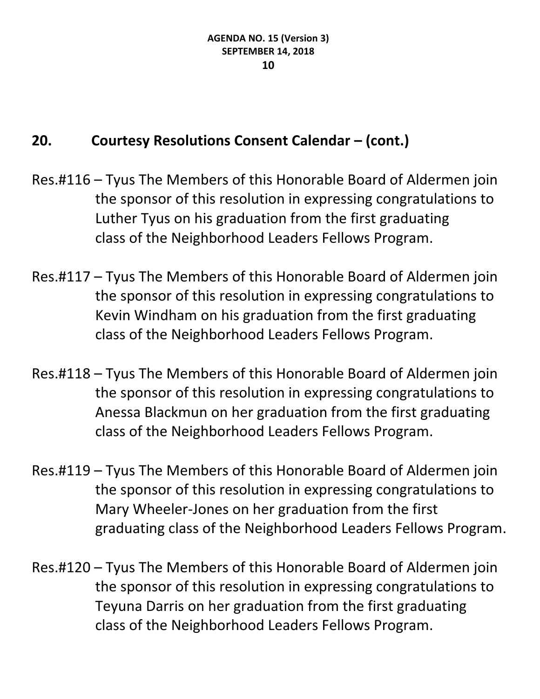- Res.#116 Tyus The Members of this Honorable Board of Aldermen join the sponsor of this resolution in expressing congratulations to Luther Tyus on his graduation from the first graduating class of the Neighborhood Leaders Fellows Program.
- Res.#117 Tyus The Members of this Honorable Board of Aldermen join the sponsor of this resolution in expressing congratulations to Kevin Windham on his graduation from the first graduating class of the Neighborhood Leaders Fellows Program.
- Res.#118 Tyus The Members of this Honorable Board of Aldermen join the sponsor of this resolution in expressing congratulations to Anessa Blackmun on her graduation from the first graduating class of the Neighborhood Leaders Fellows Program.
- Res.#119 Tyus The Members of this Honorable Board of Aldermen join the sponsor of this resolution in expressing congratulations to Mary Wheeler-Jones on her graduation from the first graduating class of the Neighborhood Leaders Fellows Program.
- Res.#120 Tyus The Members of this Honorable Board of Aldermen join the sponsor of this resolution in expressing congratulations to Teyuna Darris on her graduation from the first graduating class of the Neighborhood Leaders Fellows Program.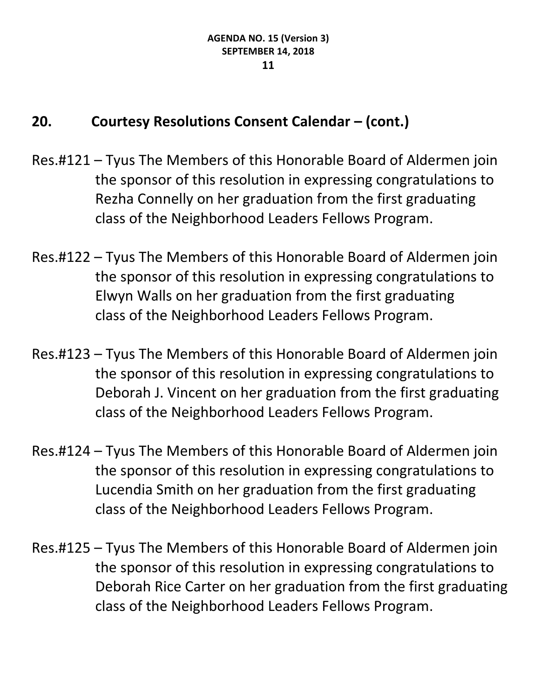- Res.#121 Tyus The Members of this Honorable Board of Aldermen join the sponsor of this resolution in expressing congratulations to Rezha Connelly on her graduation from the first graduating class of the Neighborhood Leaders Fellows Program.
- Res.#122 Tyus The Members of this Honorable Board of Aldermen join the sponsor of this resolution in expressing congratulations to Elwyn Walls on her graduation from the first graduating class of the Neighborhood Leaders Fellows Program.
- Res.#123 Tyus The Members of this Honorable Board of Aldermen join the sponsor of this resolution in expressing congratulations to Deborah J. Vincent on her graduation from the first graduating class of the Neighborhood Leaders Fellows Program.
- Res.#124 Tyus The Members of this Honorable Board of Aldermen join the sponsor of this resolution in expressing congratulations to Lucendia Smith on her graduation from the first graduating class of the Neighborhood Leaders Fellows Program.
- Res.#125 Tyus The Members of this Honorable Board of Aldermen join the sponsor of this resolution in expressing congratulations to Deborah Rice Carter on her graduation from the first graduating class of the Neighborhood Leaders Fellows Program.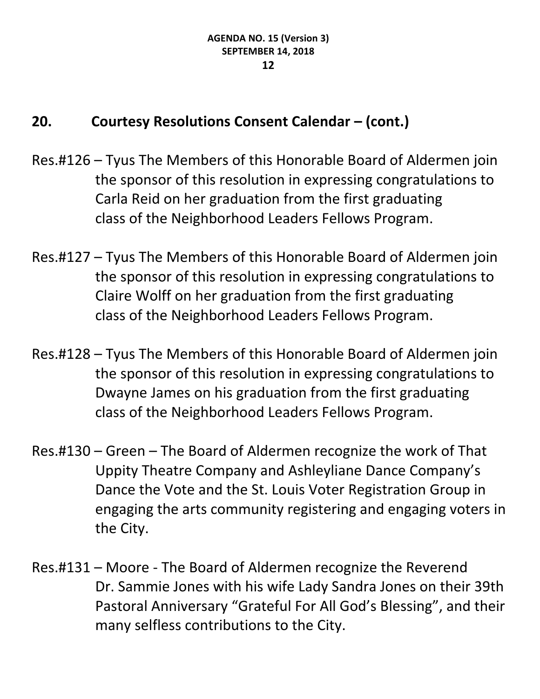- Res.#126 Tyus The Members of this Honorable Board of Aldermen join the sponsor of this resolution in expressing congratulations to Carla Reid on her graduation from the first graduating class of the Neighborhood Leaders Fellows Program.
- Res.#127 Tyus The Members of this Honorable Board of Aldermen join the sponsor of this resolution in expressing congratulations to Claire Wolff on her graduation from the first graduating class of the Neighborhood Leaders Fellows Program.
- Res.#128 Tyus The Members of this Honorable Board of Aldermen join the sponsor of this resolution in expressing congratulations to Dwayne James on his graduation from the first graduating class of the Neighborhood Leaders Fellows Program.
- Res.#130 Green The Board of Aldermen recognize the work of That Uppity Theatre Company and Ashleyliane Dance Company's Dance the Vote and the St. Louis Voter Registration Group in engaging the arts community registering and engaging voters in the City.
- Res.#131 Moore The Board of Aldermen recognize the Reverend Dr. Sammie Jones with his wife Lady Sandra Jones on their 39th Pastoral Anniversary "Grateful For All God's Blessing", and their many selfless contributions to the City.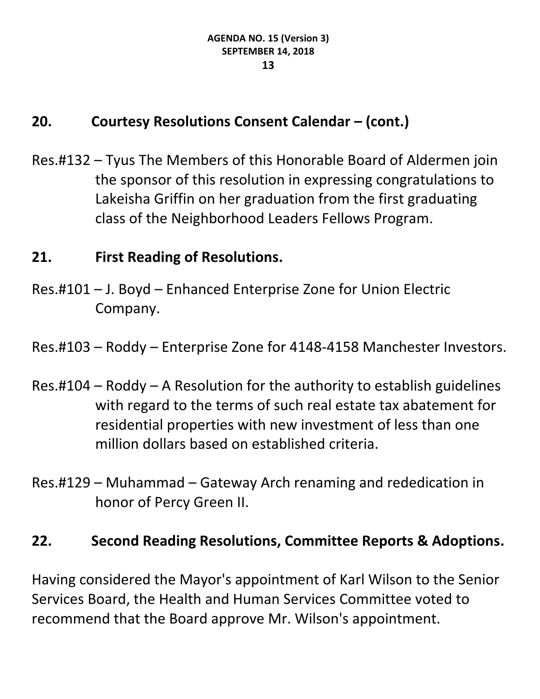Res.#132 – Tyus The Members of this Honorable Board of Aldermen join the sponsor of this resolution in expressing congratulations to Lakeisha Griffin on her graduation from the first graduating class of the Neighborhood Leaders Fellows Program.

## **21. First Reading of Resolutions.**

Res.#101 – J. Boyd – Enhanced Enterprise Zone for Union Electric Company.

Res.#103 – Roddy – Enterprise Zone for 4148-4158 Manchester Investors.

- Res.#104 Roddy A Resolution for the authority to establish guidelines with regard to the terms of such real estate tax abatement for residential properties with new investment of less than one million dollars based on established criteria.
- Res.#129 Muhammad Gateway Arch renaming and rededication in honor of Percy Green II.

## **22. Second Reading Resolutions, Committee Reports & Adoptions.**

Having considered the Mayor's appointment of Karl Wilson to the Senior Services Board, the Health and Human Services Committee voted to recommend that the Board approve Mr. Wilson's appointment.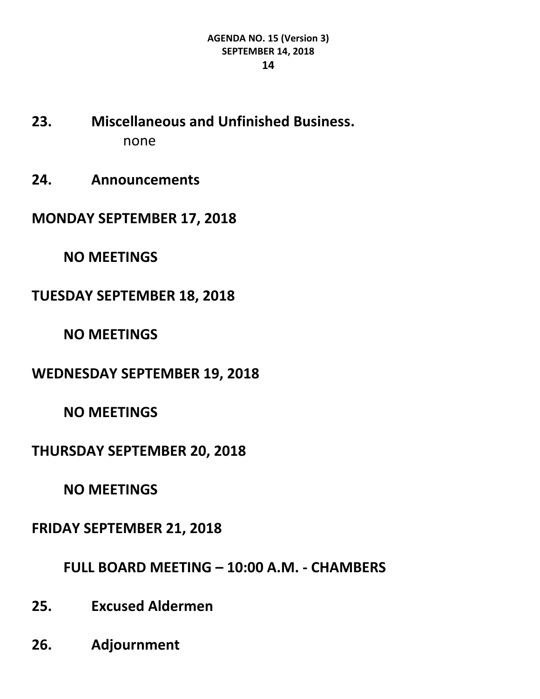- **23. Miscellaneous and Unfinished Business.** none
- **24. Announcements**
- **MONDAY SEPTEMBER 17, 2018**
	- **NO MEETINGS**
- **TUESDAY SEPTEMBER 18, 2018**
	- **NO MEETINGS**
- **WEDNESDAY SEPTEMBER 19, 2018**
	- **NO MEETINGS**
- **THURSDAY SEPTEMBER 20, 2018**
	- **NO MEETINGS**
- **FRIDAY SEPTEMBER 21, 2018**
	- **FULL BOARD MEETING – 10:00 A.M. - CHAMBERS**
- **25. Excused Aldermen**
- **26. Adjournment**